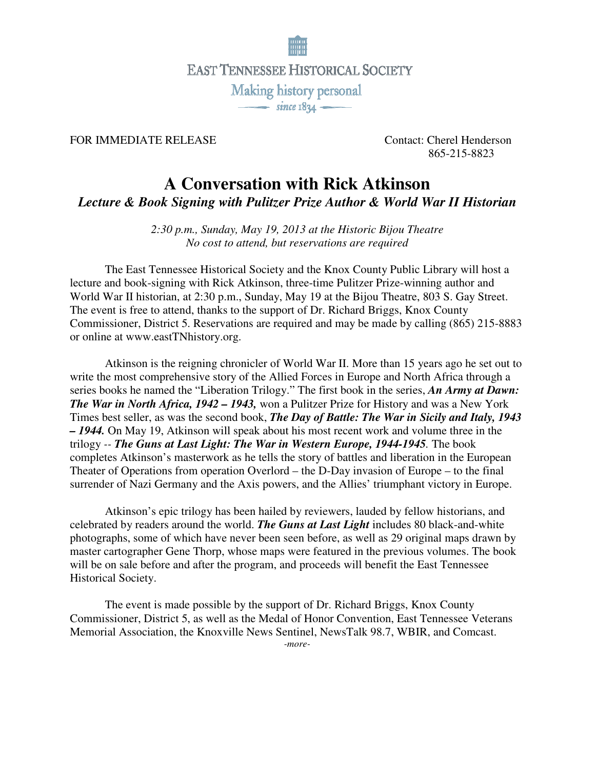

## FOR IMMEDIATE RELEASE Contact: Cherel Henderson

865-215-8823

## **A Conversation with Rick Atkinson**

*Lecture & Book Signing with Pulitzer Prize Author & World War II Historian*

*2:30 p.m., Sunday, May 19, 2013 at the Historic Bijou Theatre No cost to attend, but reservations are required*

 The East Tennessee Historical Society and the Knox County Public Library will host a lecture and book-signing with Rick Atkinson, three-time Pulitzer Prize-winning author and World War II historian, at 2:30 p.m., Sunday, May 19 at the Bijou Theatre, 803 S. Gay Street. The event is free to attend, thanks to the support of Dr. Richard Briggs, Knox County Commissioner, District 5. Reservations are required and may be made by calling (865) 215-8883 or online at www.eastTNhistory.org.

 Atkinson is the reigning chronicler of World War II. More than 15 years ago he set out to write the most comprehensive story of the Allied Forces in Europe and North Africa through a series books he named the "Liberation Trilogy." The first book in the series, *An Army at Dawn: The War in North Africa, 1942 – 1943,* won a Pulitzer Prize for History and was a New York Times best seller, as was the second book, *The Day of Battle: The War in Sicily and Italy, 1943 – 1944.* On May 19, Atkinson will speak about his most recent work and volume three in the trilogy *-- The Guns at Last Light: The War in Western Europe, 1944-1945.* The book completes Atkinson's masterwork as he tells the story of battles and liberation in the European Theater of Operations from operation Overlord – the D-Day invasion of Europe – to the final surrender of Nazi Germany and the Axis powers, and the Allies' triumphant victory in Europe.

 Atkinson's epic trilogy has been hailed by reviewers, lauded by fellow historians, and celebrated by readers around the world. *The Guns at Last Light* includes 80 black-and-white photographs, some of which have never been seen before, as well as 29 original maps drawn by master cartographer Gene Thorp, whose maps were featured in the previous volumes. The book will be on sale before and after the program, and proceeds will benefit the East Tennessee Historical Society.

 The event is made possible by the support of Dr. Richard Briggs, Knox County Commissioner, District 5, as well as the Medal of Honor Convention, East Tennessee Veterans Memorial Association, the Knoxville News Sentinel, NewsTalk 98.7, WBIR, and Comcast.